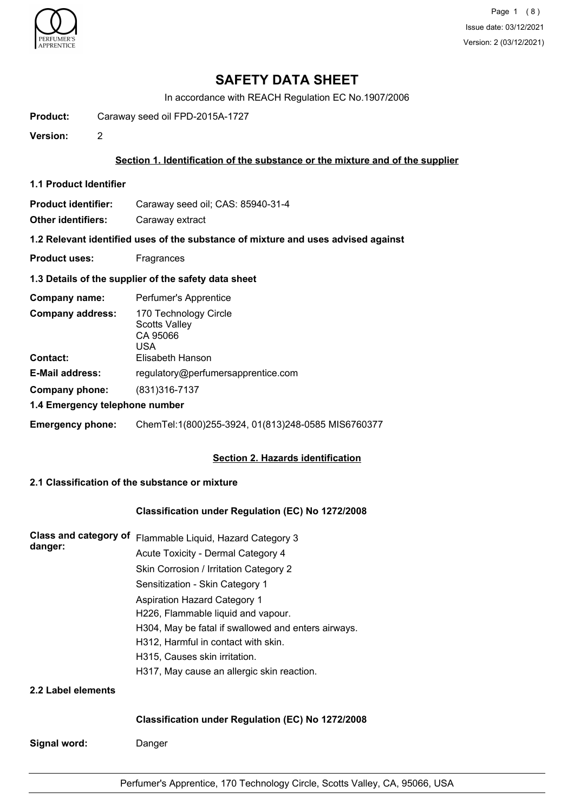

Page 1 (8) Issue date: 03/12/2021 Version: 2 (03/12/2021)

# **SAFETY DATA SHEET**

In accordance with REACH Regulation EC No.1907/2006

**Product:** Caraway seed oil FPD-2015A-1727

**Version:** 2

### **Section 1. Identification of the substance or the mixture and of the supplier**

**1.1 Product Identifier**

**Product identifier:** Caraway seed oil; CAS: 85940-31-4

**Other identifiers:** Caraway extract

**1.2 Relevant identified uses of the substance of mixture and uses advised against**

**Product uses:** Fragrances

#### **1.3 Details of the supplier of the safety data sheet**

| Company name:                       | Perfumer's Apprentice                                                                |
|-------------------------------------|--------------------------------------------------------------------------------------|
| <b>Company address:</b><br>Contact: | 170 Technology Circle<br><b>Scotts Valley</b><br>CA 95066<br>USA<br>Elisabeth Hanson |
|                                     |                                                                                      |
| <b>E-Mail address:</b>              | regulatory@perfumersapprentice.com                                                   |
| Company phone:                      | (831) 316 - 7137                                                                     |
| 1.4 Emergency telephone number      |                                                                                      |
| <b>Emergency phone:</b>             | ChemTel:1(800)255-3924, 01(813)248-0585 MIS6760377                                   |

## **Section 2. Hazards identification**

## **2.1 Classification of the substance or mixture**

### **Classification under Regulation (EC) No 1272/2008**

| Class and category of<br>danger: | Flammable Liquid, Hazard Category 3                 |
|----------------------------------|-----------------------------------------------------|
|                                  | Acute Toxicity - Dermal Category 4                  |
|                                  | Skin Corrosion / Irritation Category 2              |
|                                  | Sensitization - Skin Category 1                     |
|                                  | Aspiration Hazard Category 1                        |
|                                  | H226, Flammable liquid and vapour.                  |
|                                  | H304, May be fatal if swallowed and enters airways. |
|                                  | H312, Harmful in contact with skin.                 |
|                                  | H315, Causes skin irritation.                       |
|                                  | H317, May cause an allergic skin reaction.          |
| 2.2 Label elements               |                                                     |

### **Classification under Regulation (EC) No 1272/2008**

**Signal word:** Danger

Perfumer's Apprentice, 170 Technology Circle, Scotts Valley, CA, 95066, USA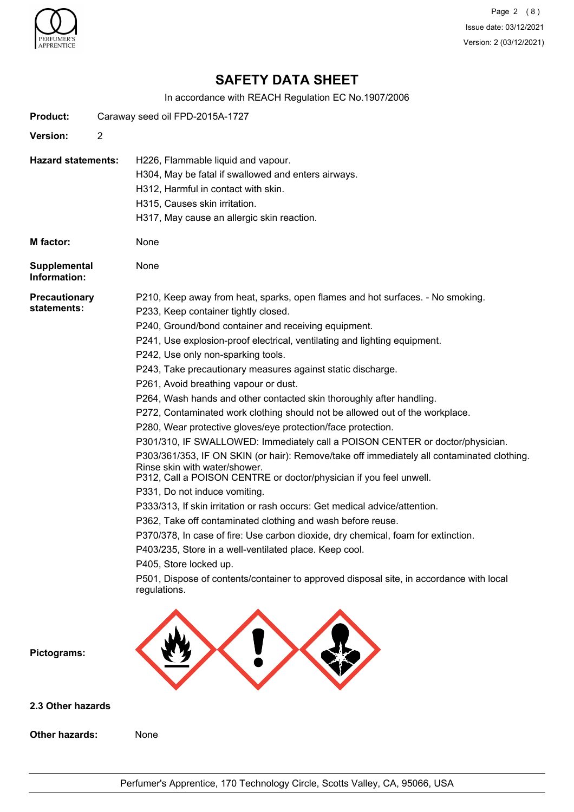

Page 2 (8) Issue date: 03/12/2021 Version: 2 (03/12/2021)

# **SAFETY DATA SHEET**

In accordance with REACH Regulation EC No.1907/2006

| <b>Product:</b>                     |   | Caraway seed oil FPD-2015A-1727                                                                                                                                                                                                                                                                                                                                                                                                                                                                                                                                                                                                                                                                                                                                                                                                                                                                                                                                                                                                                                                                                                                                                                                                                                                                                                                                                           |
|-------------------------------------|---|-------------------------------------------------------------------------------------------------------------------------------------------------------------------------------------------------------------------------------------------------------------------------------------------------------------------------------------------------------------------------------------------------------------------------------------------------------------------------------------------------------------------------------------------------------------------------------------------------------------------------------------------------------------------------------------------------------------------------------------------------------------------------------------------------------------------------------------------------------------------------------------------------------------------------------------------------------------------------------------------------------------------------------------------------------------------------------------------------------------------------------------------------------------------------------------------------------------------------------------------------------------------------------------------------------------------------------------------------------------------------------------------|
| <b>Version:</b>                     | 2 |                                                                                                                                                                                                                                                                                                                                                                                                                                                                                                                                                                                                                                                                                                                                                                                                                                                                                                                                                                                                                                                                                                                                                                                                                                                                                                                                                                                           |
| <b>Hazard statements:</b>           |   | H226, Flammable liquid and vapour.<br>H304, May be fatal if swallowed and enters airways.<br>H312, Harmful in contact with skin.<br>H315, Causes skin irritation.<br>H317, May cause an allergic skin reaction.                                                                                                                                                                                                                                                                                                                                                                                                                                                                                                                                                                                                                                                                                                                                                                                                                                                                                                                                                                                                                                                                                                                                                                           |
| M factor:                           |   | None                                                                                                                                                                                                                                                                                                                                                                                                                                                                                                                                                                                                                                                                                                                                                                                                                                                                                                                                                                                                                                                                                                                                                                                                                                                                                                                                                                                      |
| Supplemental<br>Information:        |   | None                                                                                                                                                                                                                                                                                                                                                                                                                                                                                                                                                                                                                                                                                                                                                                                                                                                                                                                                                                                                                                                                                                                                                                                                                                                                                                                                                                                      |
| <b>Precautionary</b><br>statements: |   | P210, Keep away from heat, sparks, open flames and hot surfaces. - No smoking.<br>P233, Keep container tightly closed.<br>P240, Ground/bond container and receiving equipment.<br>P241, Use explosion-proof electrical, ventilating and lighting equipment.<br>P242, Use only non-sparking tools.<br>P243, Take precautionary measures against static discharge.<br>P261, Avoid breathing vapour or dust.<br>P264, Wash hands and other contacted skin thoroughly after handling.<br>P272, Contaminated work clothing should not be allowed out of the workplace.<br>P280, Wear protective gloves/eye protection/face protection.<br>P301/310, IF SWALLOWED: Immediately call a POISON CENTER or doctor/physician.<br>P303/361/353, IF ON SKIN (or hair): Remove/take off immediately all contaminated clothing.<br>Rinse skin with water/shower.<br>P312, Call a POISON CENTRE or doctor/physician if you feel unwell.<br>P331, Do not induce vomiting.<br>P333/313, If skin irritation or rash occurs: Get medical advice/attention.<br>P362, Take off contaminated clothing and wash before reuse.<br>P370/378, In case of fire: Use carbon dioxide, dry chemical, foam for extinction.<br>P403/235, Store in a well-ventilated place. Keep cool.<br>P405, Store locked up.<br>P501, Dispose of contents/container to approved disposal site, in accordance with local<br>regulations. |
| Pictograms:                         |   |                                                                                                                                                                                                                                                                                                                                                                                                                                                                                                                                                                                                                                                                                                                                                                                                                                                                                                                                                                                                                                                                                                                                                                                                                                                                                                                                                                                           |
| 2.3 Other hazards                   |   |                                                                                                                                                                                                                                                                                                                                                                                                                                                                                                                                                                                                                                                                                                                                                                                                                                                                                                                                                                                                                                                                                                                                                                                                                                                                                                                                                                                           |
| <b>Other hazards:</b>               |   | None                                                                                                                                                                                                                                                                                                                                                                                                                                                                                                                                                                                                                                                                                                                                                                                                                                                                                                                                                                                                                                                                                                                                                                                                                                                                                                                                                                                      |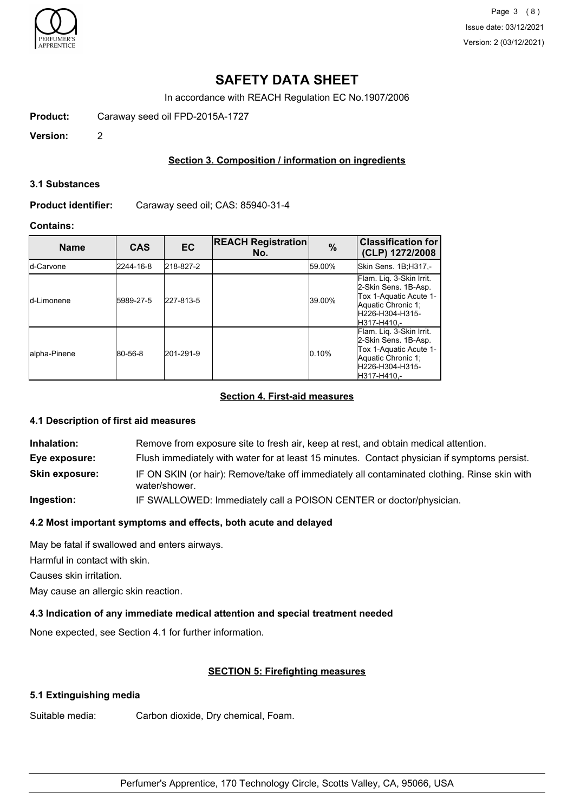

Page 3 (8) Issue date: 03/12/2021 Version: 2 (03/12/2021)

# **SAFETY DATA SHEET**

In accordance with REACH Regulation EC No.1907/2006

**Product:** Caraway seed oil FPD-2015A-1727

**Version:** 2

## **Section 3. Composition / information on ingredients**

### **3.1 Substances**

**Product identifier:** Caraway seed oil; CAS: 85940-31-4

## **Contains:**

| <b>Name</b>       | <b>CAS</b> | <b>EC</b> | <b>REACH Registration</b><br>No. | $\%$   | <b>Classification for</b><br>(CLP) 1272/2008                                                                                        |
|-------------------|------------|-----------|----------------------------------|--------|-------------------------------------------------------------------------------------------------------------------------------------|
| <b>Id-Carvone</b> | 2244-16-8  | 218-827-2 |                                  | 59.00% | Skin Sens. 1B;H317,-                                                                                                                |
| Id-Limonene       | 5989-27-5  | 227-813-5 |                                  | 39.00% | Flam. Lig. 3-Skin Irrit.<br>2-Skin Sens. 1B-Asp.<br>Tox 1-Aquatic Acute 1-<br>Aquatic Chronic 1;<br>H226-H304-H315-<br>IH317-H410.- |
| lalpha-Pinene     | 80-56-8    | 201-291-9 |                                  | 0.10%  | Flam. Lig. 3-Skin Irrit.<br>2-Skin Sens. 1B-Asp.<br>Tox 1-Aquatic Acute 1-<br>Aquatic Chronic 1;<br>H226-H304-H315-<br>H317-H410,-  |

# **Section 4. First-aid measures**

## **4.1 Description of first aid measures**

| Inhalation:           | Remove from exposure site to fresh air, keep at rest, and obtain medical attention.                           |
|-----------------------|---------------------------------------------------------------------------------------------------------------|
| Eye exposure:         | Flush immediately with water for at least 15 minutes. Contact physician if symptoms persist.                  |
| <b>Skin exposure:</b> | IF ON SKIN (or hair): Remove/take off immediately all contaminated clothing. Rinse skin with<br>water/shower. |
| Ingootian:            | IF OWALLOWED, $\lim_{x\to\infty} \frac{1}{x}$ is taken a set as DOIOONLOFNTED as also taughter is taken       |

**Ingestion:** IF SWALLOWED: Immediately call a POISON CENTER or doctor/physician.

## **4.2 Most important symptoms and effects, both acute and delayed**

May be fatal if swallowed and enters airways.

Harmful in contact with skin.

Causes skin irritation.

May cause an allergic skin reaction.

## **4.3 Indication of any immediate medical attention and special treatment needed**

None expected, see Section 4.1 for further information.

# **SECTION 5: Firefighting measures**

## **5.1 Extinguishing media**

Suitable media: Carbon dioxide, Dry chemical, Foam.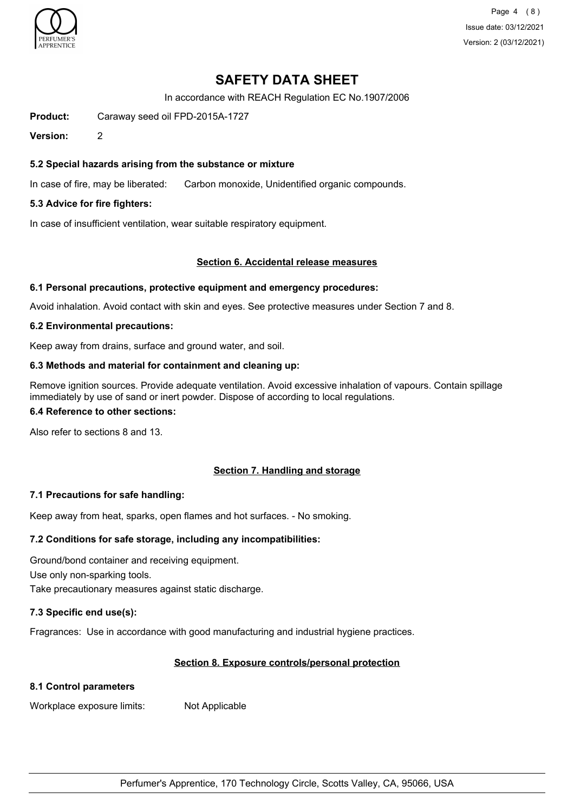

Page 4 (8) Issue date: 03/12/2021 Version: 2 (03/12/2021)

# **SAFETY DATA SHEET**

In accordance with REACH Regulation EC No.1907/2006

**Product:** Caraway seed oil FPD-2015A-1727

**Version:** 2

## **5.2 Special hazards arising from the substance or mixture**

In case of fire, may be liberated: Carbon monoxide, Unidentified organic compounds.

### **5.3 Advice for fire fighters:**

In case of insufficient ventilation, wear suitable respiratory equipment.

### **Section 6. Accidental release measures**

### **6.1 Personal precautions, protective equipment and emergency procedures:**

Avoid inhalation. Avoid contact with skin and eyes. See protective measures under Section 7 and 8.

### **6.2 Environmental precautions:**

Keep away from drains, surface and ground water, and soil.

### **6.3 Methods and material for containment and cleaning up:**

Remove ignition sources. Provide adequate ventilation. Avoid excessive inhalation of vapours. Contain spillage immediately by use of sand or inert powder. Dispose of according to local regulations.

### **6.4 Reference to other sections:**

Also refer to sections 8 and 13.

## **Section 7. Handling and storage**

## **7.1 Precautions for safe handling:**

Keep away from heat, sparks, open flames and hot surfaces. - No smoking.

## **7.2 Conditions for safe storage, including any incompatibilities:**

Ground/bond container and receiving equipment. Use only non-sparking tools.

Take precautionary measures against static discharge.

## **7.3 Specific end use(s):**

Fragrances: Use in accordance with good manufacturing and industrial hygiene practices.

## **Section 8. Exposure controls/personal protection**

## **8.1 Control parameters**

Workplace exposure limits: Not Applicable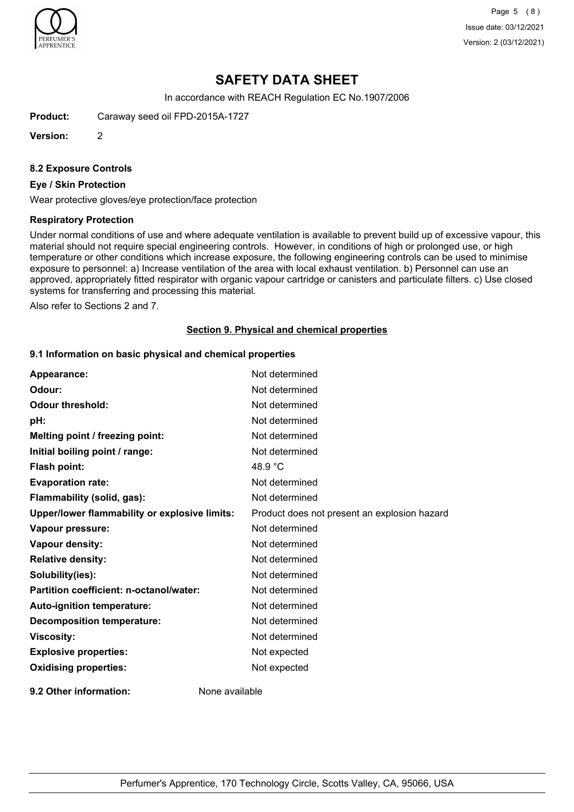

Page 5 (8) Issue date: 03/12/2021 Version: 2 (03/12/2021)

# **SAFETY DATA SHEET**

In accordance with REACH Regulation EC No.1907/2006

**Product:** Caraway seed oil FPD-2015A-1727

**Version:** 2

#### **8.2 Exposure Controls**

### **Eye / Skin Protection**

Wear protective gloves/eye protection/face protection

#### **Respiratory Protection**

Under normal conditions of use and where adequate ventilation is available to prevent build up of excessive vapour, this material should not require special engineering controls. However, in conditions of high or prolonged use, or high temperature or other conditions which increase exposure, the following engineering controls can be used to minimise exposure to personnel: a) Increase ventilation of the area with local exhaust ventilation. b) Personnel can use an approved, appropriately fitted respirator with organic vapour cartridge or canisters and particulate filters. c) Use closed systems for transferring and processing this material.

Also refer to Sections 2 and 7.

#### **Section 9. Physical and chemical properties**

### **9.1 Information on basic physical and chemical properties**

| Appearance:                                   | Not determined                               |
|-----------------------------------------------|----------------------------------------------|
| Odour:                                        | Not determined                               |
| <b>Odour threshold:</b>                       | Not determined                               |
| pH:                                           | Not determined                               |
| Melting point / freezing point:               | Not determined                               |
| Initial boiling point / range:                | Not determined                               |
| Flash point:                                  | 48.9 $\degree$ C                             |
| <b>Evaporation rate:</b>                      | Not determined                               |
| Flammability (solid, gas):                    | Not determined                               |
| Upper/lower flammability or explosive limits: | Product does not present an explosion hazard |
| Vapour pressure:                              | Not determined                               |
| Vapour density:                               | Not determined                               |
| <b>Relative density:</b>                      | Not determined                               |
| Solubility(ies):                              | Not determined                               |
| Partition coefficient: n-octanol/water:       | Not determined                               |
| Auto-ignition temperature:                    | Not determined                               |
| <b>Decomposition temperature:</b>             | Not determined                               |
| <b>Viscosity:</b>                             | Not determined                               |
| <b>Explosive properties:</b>                  | Not expected                                 |
| <b>Oxidising properties:</b>                  | Not expected                                 |
| 9.2 Other information:                        | None available                               |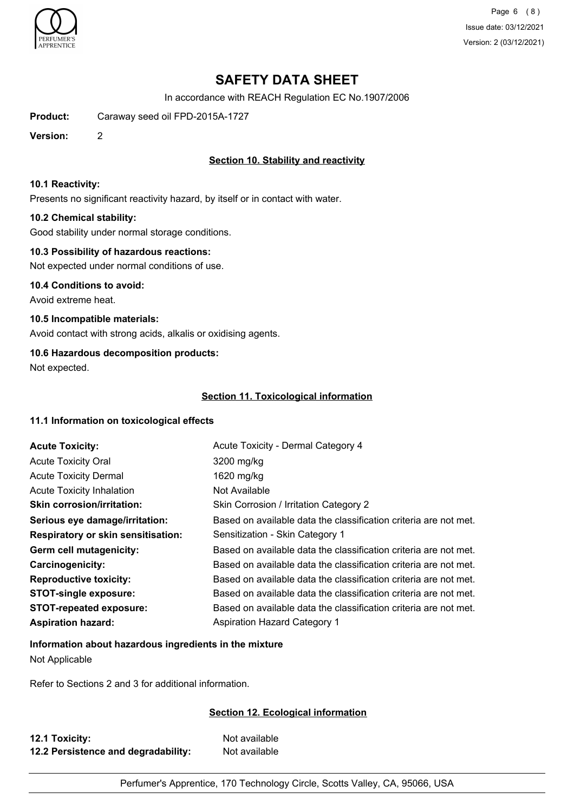

Page 6 (8) Issue date: 03/12/2021 Version: 2 (03/12/2021)

# **SAFETY DATA SHEET**

In accordance with REACH Regulation EC No.1907/2006

**Product:** Caraway seed oil FPD-2015A-1727

**Version:** 2

## **Section 10. Stability and reactivity**

### **10.1 Reactivity:**

Presents no significant reactivity hazard, by itself or in contact with water.

### **10.2 Chemical stability:**

Good stability under normal storage conditions.

### **10.3 Possibility of hazardous reactions:**

Not expected under normal conditions of use.

**10.4 Conditions to avoid:** Avoid extreme heat.

**10.5 Incompatible materials:** Avoid contact with strong acids, alkalis or oxidising agents.

## **10.6 Hazardous decomposition products:**

Not expected.

## **Section 11. Toxicological information**

## **11.1 Information on toxicological effects**

| <b>Acute Toxicity:</b>             | Acute Toxicity - Dermal Category 4                               |
|------------------------------------|------------------------------------------------------------------|
| <b>Acute Toxicity Oral</b>         | 3200 mg/kg                                                       |
| <b>Acute Toxicity Dermal</b>       | 1620 mg/kg                                                       |
| <b>Acute Toxicity Inhalation</b>   | Not Available                                                    |
| <b>Skin corrosion/irritation:</b>  | Skin Corrosion / Irritation Category 2                           |
| Serious eye damage/irritation:     | Based on available data the classification criteria are not met. |
| Respiratory or skin sensitisation: | Sensitization - Skin Category 1                                  |
| Germ cell mutagenicity:            | Based on available data the classification criteria are not met. |
| <b>Carcinogenicity:</b>            | Based on available data the classification criteria are not met. |
| <b>Reproductive toxicity:</b>      | Based on available data the classification criteria are not met. |
| <b>STOT-single exposure:</b>       | Based on available data the classification criteria are not met. |
| <b>STOT-repeated exposure:</b>     | Based on available data the classification criteria are not met. |
| <b>Aspiration hazard:</b>          | <b>Aspiration Hazard Category 1</b>                              |

## **Information about hazardous ingredients in the mixture**

Not Applicable

Refer to Sections 2 and 3 for additional information.

## **Section 12. Ecological information**

| 12.1 Toxicity:                      | Not available |
|-------------------------------------|---------------|
| 12.2 Persistence and degradability: | Not available |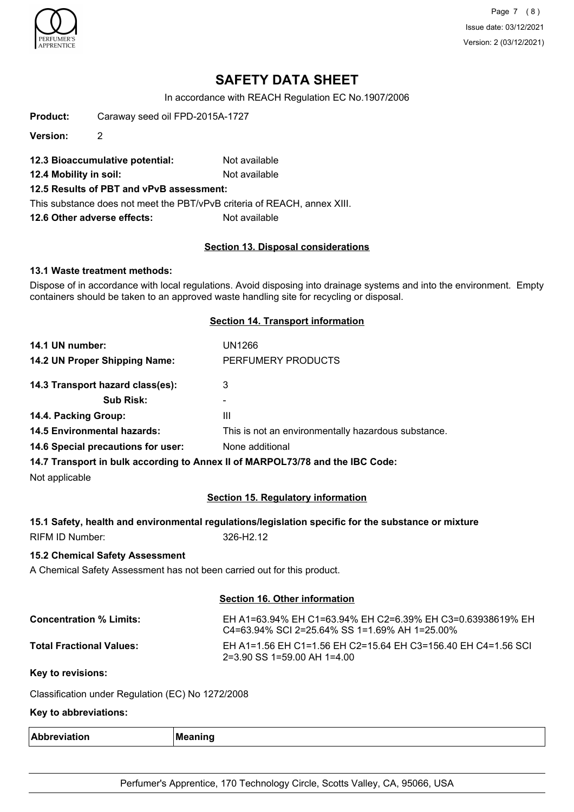

Page 7 (8) Issue date: 03/12/2021 Version: 2 (03/12/2021)

# **SAFETY DATA SHEET**

In accordance with REACH Regulation EC No.1907/2006

| Product: | Caraway seed oil FPD-2015A-1727 |  |
|----------|---------------------------------|--|
|          |                                 |  |

**Version:** 2

- **12.3 Bioaccumulative potential:** Not available
- **12.4 Mobility in soil:** Not available
- **12.5 Results of PBT and vPvB assessment:**

This substance does not meet the PBT/vPvB criteria of REACH, annex XIII.

**12.6 Other adverse effects:** Not available

#### **Section 13. Disposal considerations**

### **13.1 Waste treatment methods:**

Dispose of in accordance with local regulations. Avoid disposing into drainage systems and into the environment. Empty containers should be taken to an approved waste handling site for recycling or disposal.

### **Section 14. Transport information**

| 14.1 UN number:                    | UN1266                                              |
|------------------------------------|-----------------------------------------------------|
| 14.2 UN Proper Shipping Name:      | PERFUMERY PRODUCTS                                  |
| 14.3 Transport hazard class(es):   | 3                                                   |
| <b>Sub Risk:</b>                   | ۰                                                   |
| 14.4. Packing Group:               | Ш                                                   |
| <b>14.5 Environmental hazards:</b> | This is not an environmentally hazardous substance. |
| 14.6 Special precautions for user: | None additional                                     |

**14.7 Transport in bulk according to Annex II of MARPOL73/78 and the IBC Code:**

Not applicable

## **Section 15. Regulatory information**

### **15.1 Safety, health and environmental regulations/legislation specific for the substance or mixture**

RIFM ID Number: 326-H2.12

## **15.2 Chemical Safety Assessment**

A Chemical Safety Assessment has not been carried out for this product.

## **Section 16. Other information**

| <b>Concentration % Limits:</b>  | EH A1=63.94% EH C1=63.94% EH C2=6.39% EH C3=0.63938619% EH<br>$C$ 4=63.94% SCI 2=25.64% SS 1=1.69% AH 1=25.00% |
|---------------------------------|----------------------------------------------------------------------------------------------------------------|
| <b>Total Fractional Values:</b> | EH A1=1.56 EH C1=1.56 EH C2=15.64 EH C3=156.40 EH C4=1.56 SCL<br>$2=3.90$ SS 1=59.00 AH 1=4.00                 |

**Key to revisions:**

Classification under Regulation (EC) No 1272/2008

# **Key to abbreviations:**

| Λŀ<br>-<br>. | в |
|--------------|---|
|              |   |